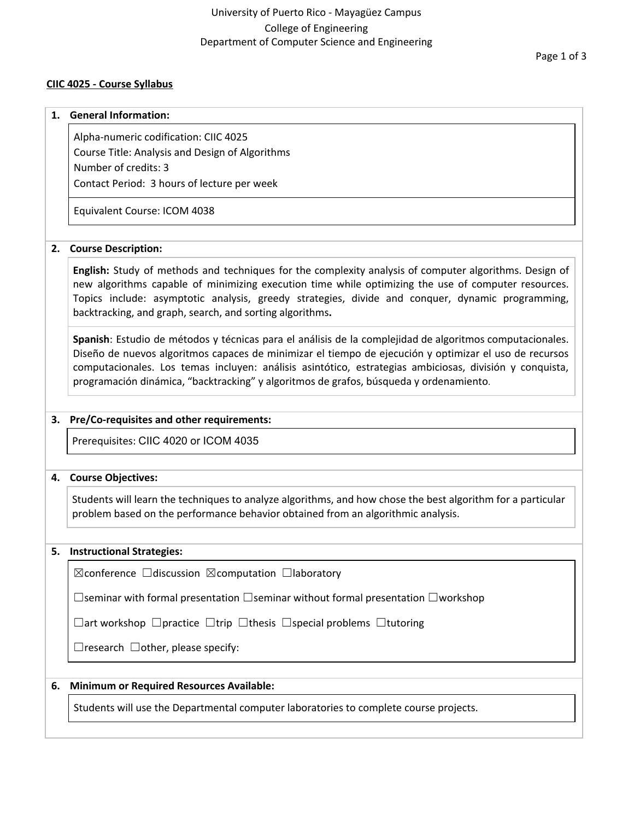### **CIIC 4025 - Course Syllabus**

#### **1. General Information:**

Alpha-numeric codification: CIIC 4025 Course Title: Analysis and Design of Algorithms Number of credits: 3 Contact Period: 3 hours of lecture per week

Equivalent Course: ICOM 4038

## **2. Course Description:**

**English:** Study of methods and techniques for the complexity analysis of computer algorithms. Design of new algorithms capable of minimizing execution time while optimizing the use of computer resources. Topics include: asymptotic analysis, greedy strategies, divide and conquer, dynamic programming, backtracking, and graph, search, and sorting algorithms**.**

**Spanish**: Estudio de métodos y técnicas para el análisis de la complejidad de algoritmos computacionales. Diseño de nuevos algoritmos capaces de minimizar el tiempo de ejecución y optimizar el uso de recursos computacionales. Los temas incluyen: análisis asintótico, estrategias ambiciosas, división y conquista, programación dinámica, "backtracking" y algoritmos de grafos, búsqueda y ordenamiento.

### **3. Pre/Co-requisites and other requirements:**

Prerequisites: CIIC 4020 or ICOM 4035

### **4. Course Objectives:**

Students will learn the techniques to analyze algorithms, and how chose the best algorithm for a particular problem based on the performance behavior obtained from an algorithmic analysis.

### **5. Instructional Strategies:**

☒conference ☐discussion ☒computation ☐laboratory

☐seminar with formal presentation ☐seminar without formal presentation ☐workshop

☐art workshop ☐practice ☐trip ☐thesis ☐special problems ☐tutoring

 $\Box$ research  $\Box$ other, please specify:

## **6. Minimum or Required Resources Available:**

Students will use the Departmental computer laboratories to complete course projects.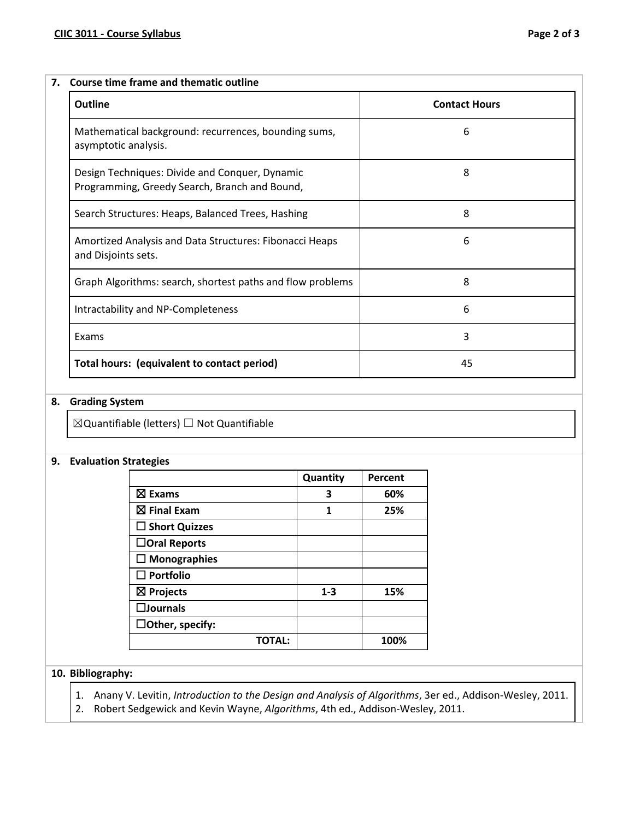# **7. Course time frame and thematic outline Outline Contact Hours** Mathematical background: recurrences, bounding sums, asymptotic analysis. 6 Design Techniques: Divide and Conquer, Dynamic Programming, Greedy Search, Branch and Bound, 8 Search Structures: Heaps, Balanced Trees, Hashing **8** and **8** and 8 Amortized Analysis and Data Structures: Fibonacci Heaps and Disjoints sets. 6 Graph Algorithms: search, shortest paths and flow problems | SALS 2003 Intractability and NP-Completeness and the state of  $\sim$  6 Exams 3 **Total hours: (equivalent to contact period)** 45

## **8. Grading System**

☒Quantifiable (letters) ☐ Not Quantifiable

## **9. Evaluation Strategies**

|                        | Quantity | Percent |
|------------------------|----------|---------|
| $\boxtimes$ Exams      | 3        | 60%     |
| $\boxtimes$ Final Exam | 1        | 25%     |
| $\Box$ Short Quizzes   |          |         |
| $\Box$ Oral Reports    |          |         |
| $\square$ Monographies |          |         |
| $\square$ Portfolio    |          |         |
| $\boxtimes$ Projects   | $1 - 3$  | 15%     |
| $\square$ Journals     |          |         |
| $\Box$ Other, specify: |          |         |
| TOTAL:                 |          | 100%    |

## **10. Bibliography:**

1. Anany V. Levitin, *Introduction to the Design and Analysis of Algorithms*, 3er ed., Addison-Wesley, 2011.

2. Robert Sedgewick and Kevin Wayne, *Algorithms*, 4th ed., Addison-Wesley, 2011.